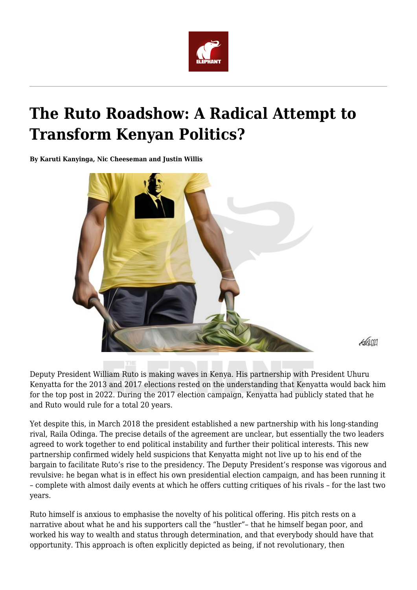

# **The Ruto Roadshow: A Radical Attempt to Transform Kenyan Politics?**

**By Karuti Kanyinga, Nic Cheeseman and Justin Willis**



 $\mathcal{A}$ am

Deputy President William Ruto is making waves in Kenya. His partnership with President Uhuru Kenyatta for the 2013 and 2017 elections rested on the understanding that Kenyatta would back him for the top post in 2022. During the 2017 election campaign, Kenyatta had publicly stated that he and Ruto would rule for a total 20 years.

Yet despite this, in March 2018 the president established a new partnership with his long-standing rival, Raila Odinga. The precise details of the agreement are unclear, but essentially the two leaders agreed to work together to end political instability and further their political interests. This new partnership confirmed widely held suspicions that Kenyatta might not live up to his end of the bargain to facilitate Ruto's rise to the presidency. The Deputy President's response was vigorous and revulsive: he began what is in effect his own presidential election campaign, and has been running it – complete with almost daily events at which he offers cutting critiques of his rivals – for the last two years.

Ruto himself is anxious to emphasise the novelty of his political offering. His pitch rests on a narrative about what he and his supporters call the "hustler"– that he himself began poor, and worked his way to wealth and status through determination, and that everybody should have that opportunity. This approach is often explicitly depicted as being, if not revolutionary, then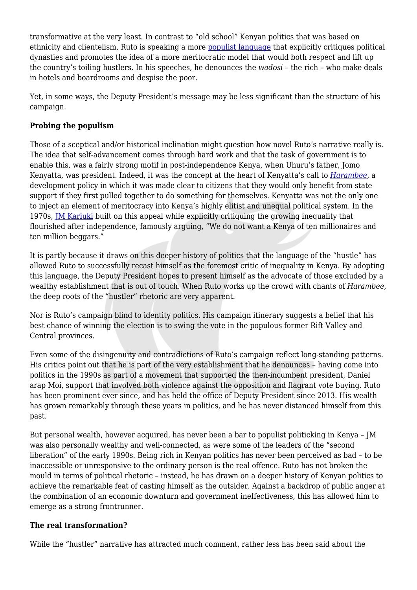transformative at the very least. In contrast to "old school" Kenyan politics that was based on ethnicity and clientelism, Ruto is speaking a more [populist language](http://democracyinafrica.org/kenyas-hustler-movement-marches-on/) that explicitly critiques political dynasties and promotes the idea of a more meritocratic model that would both respect and lift up the country's toiling hustlers. In his speeches, he denounces the *wadosi* – the rich – who make deals in hotels and boardrooms and despise the poor.

Yet, in some ways, the Deputy President's message may be less significant than the structure of his campaign.

## **Probing the populism**

Those of a sceptical and/or historical inclination might question how novel Ruto's narrative really is. The idea that self-advancement comes through hard work and that the task of government is to enable this, was a fairly strong motif in post-independence Kenya, when Uhuru's father, Jomo Kenyatta, was president. Indeed, it was the concept at the heart of Kenyatta's call to *[Harambee](https://www.oxfordhandbooks.com/view/10.1093/oxfordhb/9780198815693.001.0001/oxfordhb-9780198815693-e-1)*, a development policy in which it was made clear to citizens that they would only benefit from state support if they first pulled together to do something for themselves. Kenyatta was not the only one to inject an element of meritocracy into Kenya's highly elitist and unequal political system. In the 1970s, [JM Kariuki](https://www.standardmedia.co.ke/kenya-at-50/article/2000097642/jm-kariuki-millionaire-who-stood-up-for-the-poor) built on this appeal while explicitly critiquing the growing inequality that flourished after independence, famously arguing, "We do not want a Kenya of ten millionaires and ten million beggars."

It is partly because it draws on this deeper history of politics that the language of the "hustle" has allowed Ruto to successfully recast himself as the foremost critic of inequality in Kenya. By adopting this language, the Deputy President hopes to present himself as the advocate of those excluded by a wealthy establishment that is out of touch. When Ruto works up the crowd with chants of *Harambee*, the deep roots of the "hustler" rhetoric are very apparent.

Nor is Ruto's campaign blind to identity politics. His campaign itinerary suggests a belief that his best chance of winning the election is to swing the vote in the populous former Rift Valley and Central provinces.

Even some of the disingenuity and contradictions of Ruto's campaign reflect long-standing patterns. His critics point out that he is part of the very establishment that he denounces – having come into politics in the 1990s as part of a movement that supported the then-incumbent president, Daniel arap Moi, support that involved both violence against the opposition and flagrant vote buying. Ruto has been prominent ever since, and has held the office of Deputy President since 2013. His wealth has grown remarkably through these years in politics, and he has never distanced himself from this past.

But personal wealth, however acquired, has never been a bar to populist politicking in Kenya – JM was also personally wealthy and well-connected, as were some of the leaders of the "second liberation" of the early 1990s. Being rich in Kenyan politics has never been perceived as bad – to be inaccessible or unresponsive to the ordinary person is the real offence. Ruto has not broken the mould in terms of political rhetoric – instead, he has drawn on a deeper history of Kenyan politics to achieve the remarkable feat of casting himself as the outsider. Against a backdrop of public anger at the combination of an economic downturn and government ineffectiveness, this has allowed him to emerge as a strong frontrunner.

### **The real transformation?**

While the "hustler" narrative has attracted much comment, rather less has been said about the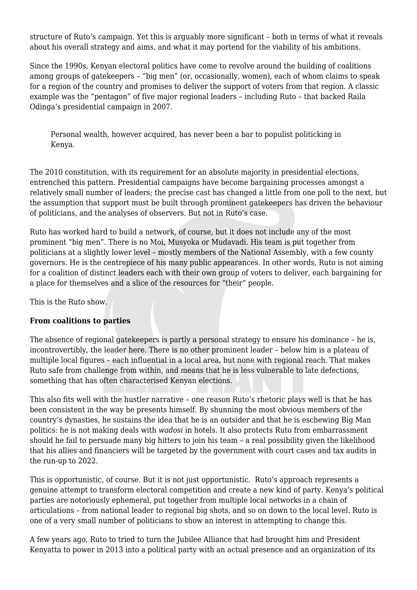structure of Ruto's campaign. Yet this is arguably more significant – both in terms of what it reveals about his overall strategy and aims, and what it may portend for the viability of his ambitions.

Since the 1990s, Kenyan electoral politics have come to revolve around the building of coalitions among groups of gatekeepers – "big men" (or, occasionally, women), each of whom claims to speak for a region of the country and promises to deliver the support of voters from that region. A classic example was the "pentagon" of five major regional leaders – including Ruto – that backed Raila Odinga's presidential campaign in 2007.

Personal wealth, however acquired, has never been a bar to populist politicking in Kenya.

The 2010 constitution, with its requirement for an absolute majority in presidential elections, entrenched this pattern. Presidential campaigns have become bargaining processes amongst a relatively small number of leaders; the precise cast has changed a little from one poll to the next, but the assumption that support must be built through prominent gatekeepers has driven the behaviour of politicians, and the analyses of observers. But not in Ruto's case.

Ruto has worked hard to build a network, of course, but it does not include any of the most prominent "big men". There is no Moi, Musyoka or Mudavadi. His team is put together from politicians at a slightly lower level – mostly members of the National Assembly, with a few county governors. He is the centrepiece of his many public appearances. In other words, Ruto is not aiming for a coalition of distinct leaders each with their own group of voters to deliver, each bargaining for a place for themselves and a slice of the resources for "their" people.

This is the Ruto show.

### **From coalitions to parties**

The absence of regional gatekeepers is partly a personal strategy to ensure his dominance – he is, incontrovertibly, the leader here. There is no other prominent leader – below him is a plateau of multiple local figures – each influential in a local area, but none with regional reach. That makes Ruto safe from challenge from within, and means that he is less vulnerable to late defections, something that has often characterised Kenyan elections.

This also fits well with the hustler narrative – one reason Ruto's rhetoric plays well is that he has been consistent in the way he presents himself. By shunning the most obvious members of the country's dynasties, he sustains the idea that he is an outsider and that he is eschewing Big Man politics: he is not making deals with *wadosi* in hotels. It also protects Ruto from embarrassment should he fail to persuade many big hitters to join his team – a real possibility given the likelihood that his allies and financiers will be targeted by the government with court cases and tax audits in the run-up to 2022.

This is opportunistic, of course. But it is not just opportunistic. Ruto's approach represents a genuine attempt to transform electoral competition and create a new kind of party. Kenya's political parties are notoriously ephemeral, put together from multiple local networks in a chain of articulations – from national leader to regional big shots, and so on down to the local level. Ruto is one of a very small number of politicians to show an interest in attempting to change this.

A few years ago, Ruto to tried to turn the Jubilee Alliance that had brought him and President Kenyatta to power in 2013 into a political party with an actual presence and an organization of its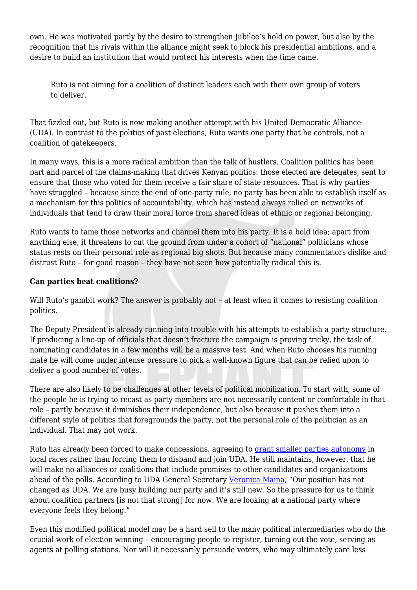own. He was motivated partly by the desire to strengthen Jubilee's hold on power, but also by the recognition that his rivals within the alliance might seek to block his presidential ambitions, and a desire to build an institution that would protect his interests when the time came.

Ruto is not aiming for a coalition of distinct leaders each with their own group of voters to deliver.

That fizzled out, but Ruto is now making another attempt with his United Democratic Alliance (UDA). In contrast to the politics of past elections, Ruto wants one party that he controls, not a coalition of gatekeepers.

In many ways, this is a more radical ambition than the talk of hustlers. Coalition politics has been part and parcel of the claims-making that drives Kenyan politics: those elected are delegates, sent to ensure that those who voted for them receive a fair share of state resources. That is why parties have struggled – because since the end of one-party rule, no party has been able to establish itself as a mechanism for this politics of accountability, which has instead always relied on networks of individuals that tend to draw their moral force from shared ideas of ethnic or regional belonging.

Ruto wants to tame those networks and channel them into his party. It is a bold idea; apart from anything else, it threatens to cut the ground from under a cohort of "national" politicians whose status rests on their personal role as regional big shots. But because many commentators dislike and distrust Ruto – for good reason – they have not seen how potentially radical this is.

### **Can parties beat coalitions?**

Will Ruto's gambit work? The answer is probably not – at least when it comes to resisting coalition politics.

The Deputy President is already running into trouble with his attempts to establish a party structure. If producing a line-up of officials that doesn't fracture the campaign is proving tricky, the task of nominating candidates in a few months will be a massive test. And when Ruto chooses his running mate he will come under intense pressure to pick a well-known figure that can be relied upon to deliver a good number of votes.

There are also likely to be challenges at other levels of political mobilization. To start with, some of the people he is trying to recast as party members are not necessarily content or comfortable in that role – partly because it diminishes their independence, but also because it pushes them into a different style of politics that foregrounds the party, not the personal role of the politician as an individual. That may not work.

Ruto has already been forced to make concessions, agreeing to [grant smaller parties autonomy](https://www.kenyans.co.ke/news/69808-uda-sec-gen-calls-out-nation-over-headline-ruto) in local races rather than forcing them to disband and join UDA. He still maintains, however, that he will make no alliances or coalitions that include promises to other candidates and organizations ahead of the polls. According to UDA General Secretary [Veronica Maina](https://www.kenyans.co.ke/news/69808-uda-sec-gen-calls-out-nation-over-headline-ruto), "Our position has not changed as UDA. We are busy building our party and it's still new. So the pressure for us to think about coalition partners [is not that strong] for now. We are looking at a national party where everyone feels they belong."

Even this modified political model may be a hard sell to the many political intermediaries who do the crucial work of election winning – encouraging people to register, turning out the vote, serving as agents at polling stations. Nor will it necessarily persuade voters, who may ultimately care less